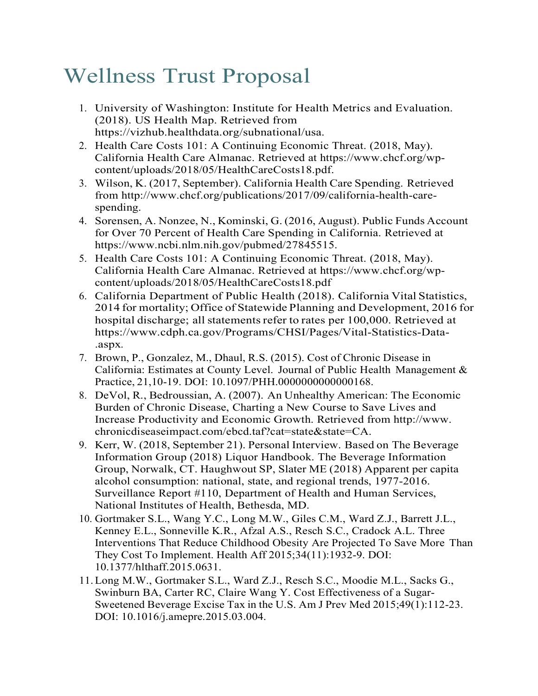## Wellness Trust Proposal

- 1. University of Washington: Institute for Health Metrics and Evaluation. (2018). US Health Map. Retrieved from https://vizhub.healthdata.org/subnational/usa.
- 2. Health Care Costs 101: A Continuing Economic Threat. (2018, May). California Health Care Almanac. Retrieved at https://www.chcf.org/wpcontent/uploads/2018/05/HealthCareCosts18.pdf.
- 3. Wilson, K. (2017, September). California Health Care Spending. Retrieved from http://www.chcf.org/publications/2017/09/california-health-carespending.
- 4. Sorensen, A. Nonzee, N., Kominski, G. (2016, August). Public Funds Account for Over 70 Percent of Health Care Spending in California. Retrieved at https://www.ncbi.nlm.nih.gov/pubmed/27845515.
- 5. Health Care Costs 101: A Continuing Economic Threat. (2018, May). California Health Care Almanac. Retrieved at https://www.chcf.org/wpcontent/uploads/2018/05/HealthCareCosts18.pdf
- 6. California Department of Public Health (2018). California Vital Statistics, 2014 for mortality; Office of Statewide Planning and Development, 2016 for hospital discharge; all statements refer to rates per 100,000. Retrieved at https://www.cdph.ca.gov/Programs/CHSI/Pages/Vital-Statistics-Data- .aspx.
- 7. Brown, P., Gonzalez, M., Dhaul, R.S. (2015). Cost of Chronic Disease in California: Estimates at County Level. Journal of Public Health Management & Practice, 21,10-19. DOI: 10.1097/PHH.0000000000000168.
- 8. DeVol, R., Bedroussian, A. (2007). An Unhealthy American: The Economic Burden of Chronic Disease, Charting a New Course to Save Lives and Increase Productivity and Economic Growth. Retrieved from http://www. chronicdiseaseimpact.com/ebcd.taf?cat=state&state=CA.
- 9. Kerr, W. (2018, September 21). Personal Interview. Based on The Beverage Information Group (2018) Liquor Handbook. The Beverage Information Group, Norwalk, CT. Haughwout SP, Slater ME (2018) Apparent per capita alcohol consumption: national, state, and regional trends, 1977-2016. Surveillance Report #110, Department of Health and Human Services, National Institutes of Health, Bethesda, MD.
- 10. Gortmaker S.L., Wang Y.C., Long M.W., Giles C.M., Ward Z.J., Barrett J.L., Kenney E.L., Sonneville K.R., Afzal A.S., Resch S.C., Cradock A.L. Three Interventions That Reduce Childhood Obesity Are Projected To Save More Than They Cost To Implement. Health Aff 2015;34(11):1932-9. DOI: 10.1377/hlthaff.2015.0631.
- 11.Long M.W., Gortmaker S.L., Ward Z.J., Resch S.C., Moodie M.L., Sacks G., Swinburn BA, Carter RC, Claire Wang Y. Cost Effectiveness of a Sugar-Sweetened Beverage Excise Tax in the U.S. Am J Prev Med 2015;49(1):112-23. DOI: 10.1016/j.amepre.2015.03.004.